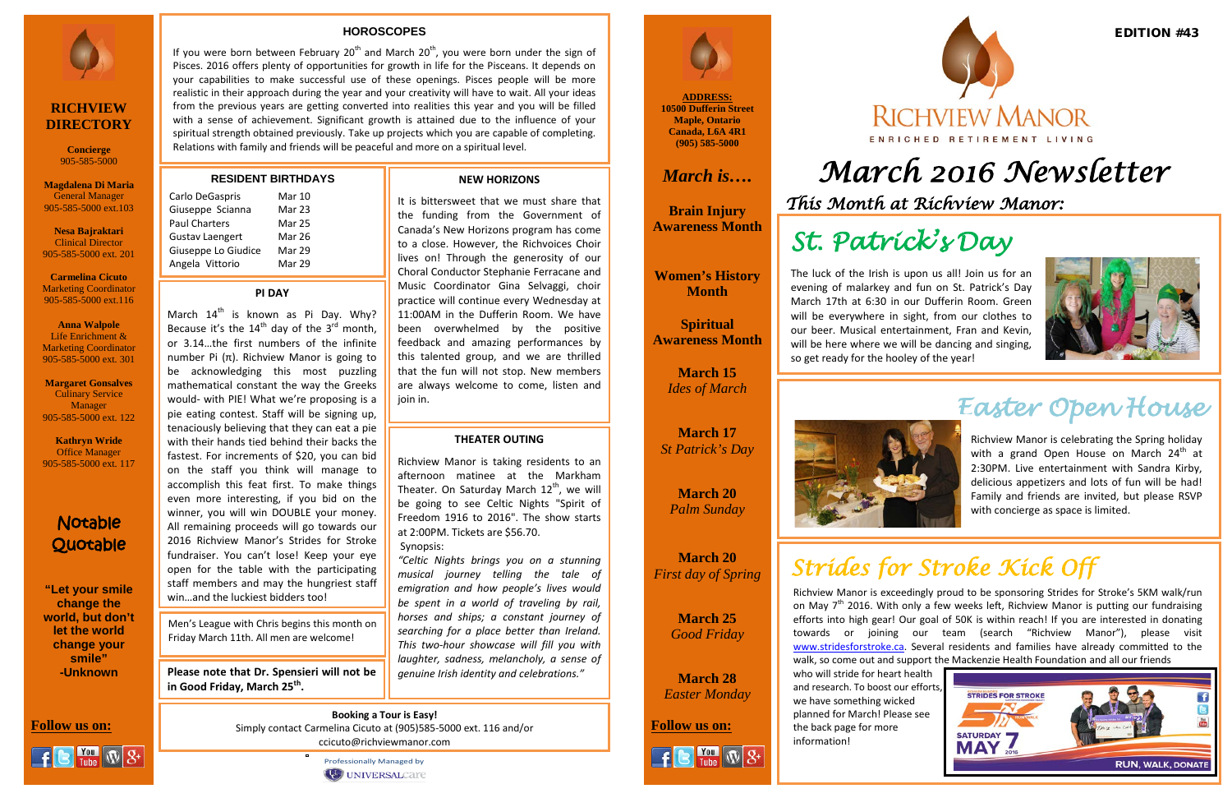# *March 2016 Newsletter*



**10500 Dufferin Street Maple, Ontario Canada, L6A 4R1 (905) 585-5000**

## *March is….*

**Brain Injury Awareness Month**

**Women's History Month**

## Notable **Quotable**

**Spiritual Awareness Month**

> **March 15** *Ides of March*

**March 17** *St Patrick's Day*

**March 20** *Palm Sunday*

**March 20** *First day of Spring*

> **March 25** *Good Friday*

**March 28** *Easter Monday*



**"Let your smile change the world, but don't let the world change your smile" -Unknown**

 $f$   $S$   $\frac{Y_{\text{out}}}{T_{\text{tube}}}$   $\overline{\mathcal{O}}$   $S$ +





## **RICHVIEW DIRECTORY**

**Concierge** 905-585-5000

**Magdalena Di Maria** General Manager 905-585-5000 ext.103

ı

**Nesa Bajraktari** Clinical Director 905-585-5000 ext. 201

**Carmelina Cicuto** Marketing Coordinator 905-585-5000 ext.116

**Anna Walpole** Life Enrichment & Marketing Coordinator 905-585-5000 ext. 301

**Margaret Gonsalves** Culinary Service Manager 905-585-5000 ext. 122

**Kathryn Wride** Office Manager 905-585-5000 ext. 117 If you were born between February  $20<sup>th</sup>$  and March  $20<sup>th</sup>$ , you were born under the sign of Pisces. 2016 offers plenty of opportunities for growth in life for the Pisceans. It depends on your capabilities to make successful use of these openings. Pisces people will be more realistic in their approach during the year and your creativity will have to wait. All your ideas from the previous years are getting converted into realities this year and you will be filled with a sense of achievement. Significant growth is attained due to the influence of your spiritual strength obtained previously. Take up projects which you are capable of completing. Relations with family and friends will be peaceful and more on a spiritual level.

EDITION #43

*This Month at Richview Manor:* 



## **RICHVIEW MANOR FNRICHED RETIREMENT LIVING**

## **RESIDENT BIRTHDAYS**

**Follow us on: Follow us on:** Simply contact Carmelina Cicuto at (905)585-5000 ext. 116 and/or **Follow us on: Booking a Tour is Easy!** ccicuto@richviewmanor.com

| Carlo DeGaspris        | Mar 10        |  |  |
|------------------------|---------------|--|--|
| Giuseppe Scianna       | Mar 23        |  |  |
| <b>Paul Charters</b>   | <b>Mar 25</b> |  |  |
| <b>Gustav Laengert</b> | <b>Mar 26</b> |  |  |
| Giuseppe Lo Giudice    | Mar 29        |  |  |
| Angela Vittorio        | Mar 29        |  |  |



March  $14<sup>th</sup>$  is known as Pi Day. Why? Because it's the  $14<sup>th</sup>$  day of the  $3<sup>rd</sup>$  month, or 3.14…the first numbers of the infinite number Pi  $(π)$ . Richview Manor is going to be acknowledging this most puzzling mathematical constant the way the Greeks would- with PIE! What we're proposing is a pie eating contest. Staff will be signing up, tenaciously believing that they can eat a pie with their hands tied behind their backs the fastest. For increments of \$20, you can bid on the staff you think will manage to accomplish this feat first. To make things even more interesting, if you bid on the winner, you will win DOUBLE your money. All remaining proceeds will go towards our 2016 Richview Manor's Strides for Stroke fundraiser. You can't lose! Keep your eye open for the table with the participating staff members and may the hungriest staff win…and the luckiest bidders too!

**The luck of the Irish is upon us all! Join us for an<br>evening of malarkey and fun on St. Patrick's Day** evening of malarkey and fun on St. Patrick's Day March 17th at 6:30 in our Dufferin Room. Green will be everywhere in sight, from our clothes to our beer. Musical entertainment, Fran and Kevin, will be here where we will be dancing and singing, so get ready for the hooley of the year!



### **PI DAY**

*St. Patrick's Day* 



## *Easter Open House*

# *Strides for Stroke Kick Off*

**NEW HORIZONS**

It is bittersweet that we must share that the funding from the Government of Canada's New Horizons program has come to a close. However, the Richvoices Choir lives on! Through the generosity of our Choral Conductor Stephanie Ferracane and Music Coordinator Gina Selvaggi, choir practice will continue every Wednesday at 11:00AM in the Dufferin Room. We have been overwhelmed by the positive feedback and amazing performances by this talented group, and we are thrilled that the fun will not stop. New members are always welcome to come, listen and

join in.

**THEATER OUTING**

Richview Manor is taking residents to an afternoon matinee at the Markham Theater. On Saturday March  $12<sup>th</sup>$ , we will be going to see Celtic Nights "Spirit of Freedom 1916 to 2016". The show starts

at 2:00PM. Tickets are \$56.70.

Synopsis:

*"Celtic Nights brings you on a stunning musical journey telling the tale of emigration and how people's lives would be spent in a world of traveling by rail, horses and ships; a constant journey of searching for a place better than Ireland. This two-hour showcase will fill you with laughter, sadness, melancholy, a sense of genuine Irish identity and celebrations."*

Richview Manor is exceedingly proud to be sponsoring Strides for Stroke's 5KM walk/run on May  $7<sup>th</sup>$  2016. With only a few weeks left, Richview Manor is putting our fundraising efforts into high gear! Our goal of 50K is within reach! If you are interested in donating towards or joining our team (search "Richview Manor"), please visit [www.stridesforstroke.ca.](http://www.stridesforstroke.ca/) Several residents and families have already committed to the walk, so come out and support the Mackenzie Health Foundation and all our friends



who will stride for heart health and research. To boost our efforts, we have something wicked planned for March! Please see the back page for more information!

Richview Manor is celebrating the Spring holiday with a grand Open House on March  $24<sup>th</sup>$  at 2:30PM. Live entertainment with Sandra Kirby, delicious appetizers and lots of fun will be had! Family and friends are invited, but please RSVP with concierge as space is limited.

Men's League with Chris begins this month on Friday March 11th. All men are welcome!

**Please note that Dr. Spensieri will not be in Good Friday, March 25th.**